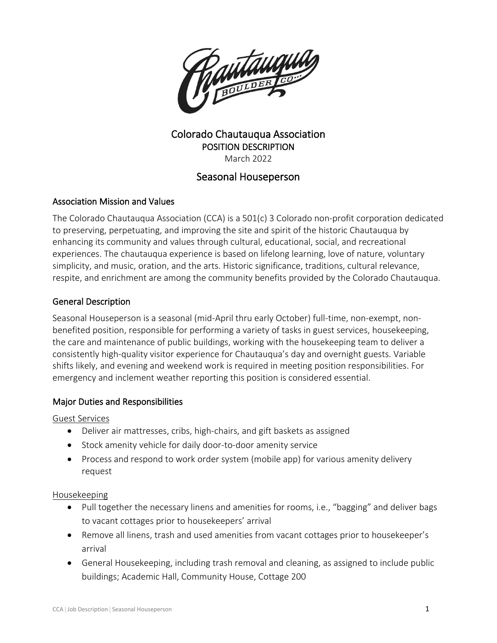

## Colorado Chautauqua Association POSITION DESCRIPTION March 2022

# Seasonal Houseperson

### Association Mission and Values

The Colorado Chautauqua Association (CCA) is a 501(c) 3 Colorado non-profit corporation dedicated to preserving, perpetuating, and improving the site and spirit of the historic Chautauqua by enhancing its community and values through cultural, educational, social, and recreational experiences. The chautauqua experience is based on lifelong learning, love of nature, voluntary simplicity, and music, oration, and the arts. Historic significance, traditions, cultural relevance, respite, and enrichment are among the community benefits provided by the Colorado Chautauqua.

### General Description

Seasonal Houseperson is a seasonal (mid-April thru early October) full-time, non-exempt, nonbenefited position, responsible for performing a variety of tasks in guest services, housekeeping, the care and maintenance of public buildings, working with the housekeeping team to deliver a consistently high-quality visitor experience for Chautauqua's day and overnight guests. Variable shifts likely, and evening and weekend work is required in meeting position responsibilities. For emergency and inclement weather reporting this position is considered essential.

#### Major Duties and Responsibilities

#### Guest Services

- Deliver air mattresses, cribs, high-chairs, and gift baskets as assigned
- Stock amenity vehicle for daily door-to-door amenity service
- Process and respond to work order system (mobile app) for various amenity delivery request

#### Housekeeping

- Pull together the necessary linens and amenities for rooms, i.e., "bagging" and deliver bags to vacant cottages prior to housekeepers' arrival
- Remove all linens, trash and used amenities from vacant cottages prior to housekeeper's arrival
- General Housekeeping, including trash removal and cleaning, as assigned to include public buildings; Academic Hall, Community House, Cottage 200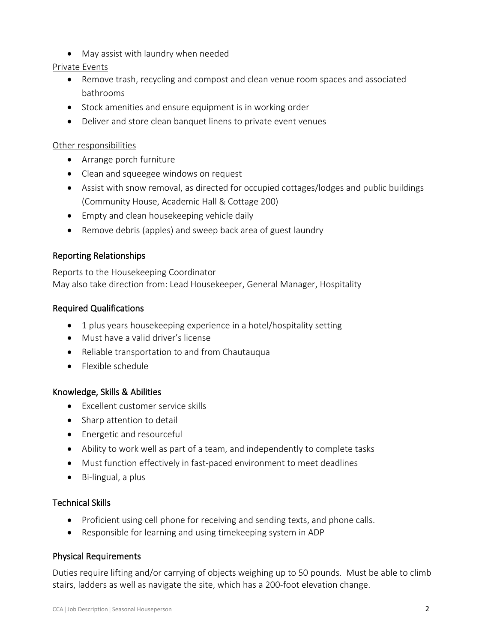• May assist with laundry when needed

### Private Events

- Remove trash, recycling and compost and clean venue room spaces and associated bathrooms
- Stock amenities and ensure equipment is in working order
- Deliver and store clean banquet linens to private event venues

#### Other responsibilities

- Arrange porch furniture
- Clean and squeegee windows on request
- Assist with snow removal, as directed for occupied cottages/lodges and public buildings (Community House, Academic Hall & Cottage 200)
- Empty and clean housekeeping vehicle daily
- Remove debris (apples) and sweep back area of guest laundry

### Reporting Relationships

Reports to the Housekeeping Coordinator May also take direction from: Lead Housekeeper, General Manager, Hospitality

### Required Qualifications

- 1 plus years housekeeping experience in a hotel/hospitality setting
- Must have a valid driver's license
- Reliable transportation to and from Chautauqua
- Flexible schedule

#### Knowledge, Skills & Abilities

- Excellent customer service skills
- Sharp attention to detail
- Energetic and resourceful
- Ability to work well as part of a team, and independently to complete tasks
- Must function effectively in fast-paced environment to meet deadlines
- Bi-lingual, a plus

### Technical Skills

- Proficient using cell phone for receiving and sending texts, and phone calls.
- Responsible for learning and using timekeeping system in ADP

### Physical Requirements

Duties require lifting and/or carrying of objects weighing up to 50 pounds. Must be able to climb stairs, ladders as well as navigate the site, which has a 200-foot elevation change.